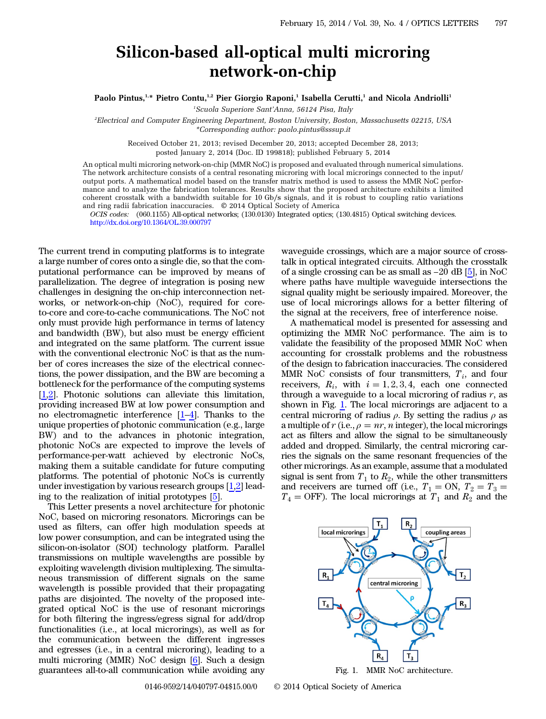## Silicon-based all-optical multi microring network-on-chip

Paolo Pintus,<sup>1,\*</sup> Pietro Contu,<sup>1,2</sup> Pier Giorgio Raponi,<sup>1</sup> Isabella Cerutti,<sup>1</sup> and Nicola Andriolli<sup>1</sup>

1 Scuola Superiore Sant*'*Anna, 56124 Pisa, Italy

2 Electrical and Computer Engineering Department, Boston University, Boston, Massachusetts 02215, USA \*Corresponding author: paolo.pintus@sssup.it

Received October 21, 2013; revised December 20, 2013; accepted December 28, 2013; posted January 2, 2014 (Doc. ID 199818); published February 5, 2014

An optical multi microring network-on-chip (MMR NoC) is proposed and evaluated through numerical simulations. The network architecture consists of a central resonating microring with local microrings connected to the input/ output ports. A mathematical model based on the transfer matrix method is used to assess the MMR NoC performance and to analyze the fabrication tolerances. Results show that the proposed architecture exhibits a limited coherent crosstalk with a bandwidth suitable for 10 Gb∕s signals, and it is robust to coupling ratio variations and ring radii fabrication inaccuracies. © 2014 Optical Society of America

OCIS codes: (060.1155) All-optical networks; (130.0130) Integrated optics; (130.4815) Optical switching devices. <http://dx.doi.org/10.1364/OL.39.000797>

The current trend in computing platforms is to integrate a large number of cores onto a single die, so that the computational performance can be improved by means of parallelization. The degree of integration is posing new challenges in designing the on-chip interconnection networks, or network-on-chip (NoC), required for coreto-core and core-to-cache communications. The NoC not only must provide high performance in terms of latency and bandwidth (BW), but also must be energy efficient and integrated on the same platform. The current issue with the conventional electronic NoC is that as the number of cores increases the size of the electrical connections, the power dissipation, and the BW are becoming a bottleneck for the performance of the computing systems [\[1](#page-3-0),[2\]](#page-3-1). Photonic solutions can alleviate this limitation, providing increased BW at low power consumption and no electromagnetic interference [\[1](#page-3-0)–[4](#page-3-2)]. Thanks to the unique properties of photonic communication (e.g., large BW) and to the advances in photonic integration, photonic NoCs are expected to improve the levels of performance-per-watt achieved by electronic NoCs, making them a suitable candidate for future computing platforms. The potential of photonic NoCs is currently under investigation by various research groups [\[1](#page-3-0),[2\]](#page-3-1) leading to the realization of initial prototypes [\[5](#page-3-3)].

This Letter presents a novel architecture for photonic NoC, based on microring resonators. Microrings can be used as filters, can offer high modulation speeds at low power consumption, and can be integrated using the silicon-on-isolator (SOI) technology platform. Parallel transmissions on multiple wavelengths are possible by exploiting wavelength division multiplexing. The simultaneous transmission of different signals on the same wavelength is possible provided that their propagating paths are disjointed. The novelty of the proposed integrated optical NoC is the use of resonant microrings for both filtering the ingress/egress signal for add/drop functionalities (i.e., at local microrings), as well as for the communication between the different ingresses and egresses (i.e., in a central microring), leading to a multi microring (MMR) NoC design [[6\]](#page-3-4). Such a design guarantees all-to-all communication while avoiding any

waveguide crossings, which are a major source of crosstalk in optical integrated circuits. Although the crosstalk of a single crossing can be as small as <sup>−</sup><sup>20</sup> dB [[5\]](#page-3-3), in NoC where paths have multiple waveguide intersections the signal quality might be seriously impaired. Moreover, the use of local microrings allows for a better filtering of the signal at the receivers, free of interference noise.

A mathematical model is presented for assessing and optimizing the MMR NoC performance. The aim is to validate the feasibility of the proposed MMR NoC when accounting for crosstalk problems and the robustness of the design to fabrication inaccuracies. The considered MMR NoC consists of four transmitters,  $T_i$ , and four receivers,  $R_i$ , with  $i = 1, 2, 3, 4$ , each one connected through a waveguide to a local microring of radius  $r$ , as shown in Fig. [1](#page-0-0). The local microrings are adjacent to a central microring of radius  $\rho$ . By setting the radius  $\rho$  as a multiple of r (i.e.,  $\rho = nr$ , n integer), the local microrings act as filters and allow the signal to be simultaneously added and dropped. Similarly, the central microring carries the signals on the same resonant frequencies of the other microrings. As an example, assume that a modulated signal is sent from  $T_1$  to  $R_2$ , while the other transmitters and receivers are turned off (i.e.,  $T_1 = ON$ ,  $T_2 = T_3 =$  $T_4 =$  OFF). The local microrings at  $T_1$  and  $R_2$  and the

<span id="page-0-0"></span>

Fig. 1. MMR NoC architecture.

0146-9592/14/040797-04\$15.00/0 © 2014 Optical Society of America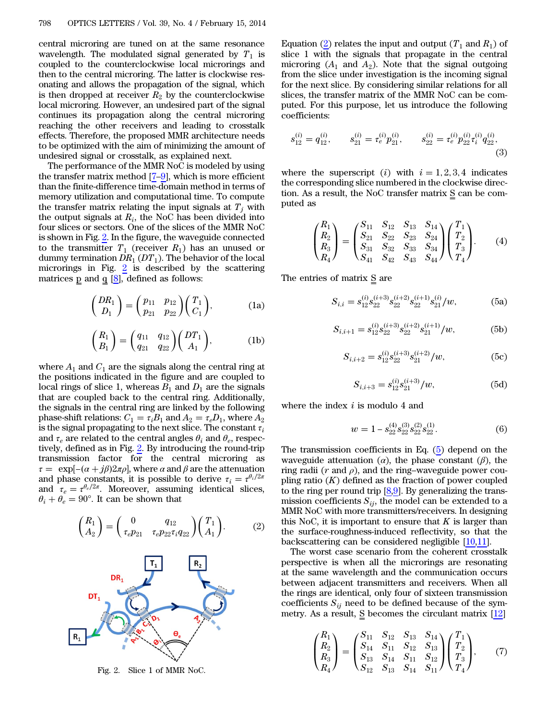central microring are tuned on at the same resonance wavelength. The modulated signal generated by  $T_1$  is coupled to the counterclockwise local microrings and then to the central microring. The latter is clockwise resonating and allows the propagation of the signal, which is then dropped at receiver  $R_2$  by the counterclockwise local microring. However, an undesired part of the signal continues its propagation along the central microring reaching the other receivers and leading to crosstalk effects. Therefore, the proposed MMR architecture needs to be optimized with the aim of minimizing the amount of undesired signal or crosstalk, as explained next.

The performance of the MMR NoC is modeled by using the transfer matrix method  $[7-9]$  $[7-9]$  $[7-9]$  $[7-9]$ , which is more efficient than the finite-difference time-domain method in terms of memory utilization and computational time. To compute the transfer matrix relating the input signals at  $T_i$  with the output signals at  $R_i$ , the NoC has been divided into four slices or sectors. One of the slices of the MMR NoC is shown in Fig. [2](#page-1-0). In the figure, the waveguide connected to the transmitter  $T_1$  (receiver  $R_1$ ) has an unused or dummy termination  $DR_1(DT_1)$ . The behavior of the local microrings in Fig.  $2$  is described by the scattering matrices  $\bar{p}$  and  $\bar{q}$  [[8\]](#page-3-7), defined as follows:

$$
\begin{pmatrix}\nDR_1 \\
D_1\n\end{pmatrix} = \begin{pmatrix}\np_{11} & p_{12} \\
p_{21} & p_{22}\n\end{pmatrix} \begin{pmatrix}\nT_1 \\
C_1\n\end{pmatrix},
$$
\n(1a)

$$
\begin{pmatrix} R_1 \\ B_1 \end{pmatrix} = \begin{pmatrix} q_{11} & q_{12} \\ q_{21} & q_{22} \end{pmatrix} \begin{pmatrix} DT_1 \\ A_1 \end{pmatrix}, \tag{1b}
$$

where  $A_1$  and  $C_1$  are the signals along the central ring at the positions indicated in the figure and are coupled to local rings of slice 1, whereas  $B_1$  and  $D_1$  are the signals that are coupled back to the central ring. Additionally, the signals in the central ring are linked by the following phase-shift relations:  $C_1 = \tau_i B_1$  and  $A_2 = \tau_e D_1$ , where  $A_2$ is the signal propagating to the next slice. The constant  $\tau_i$ and  $\tau_e$  are related to the central angles  $\theta_i$  and  $\theta_e$ , respectively, defined as in Fig. [2](#page-1-0). By introducing the round-trip transmission factor for the central microring as  $\tau = \exp[-(\alpha + j\beta)2\pi\rho]$ , where  $\alpha$  and  $\beta$  are the attenuation and phase constants, it is possible to derive  $\tau_i = \tau^{\theta_i/2\pi}$ and  $\tau_e = \tau^{\theta_e/2\pi}$ . Moreover, assuming identical slices,  $\theta_i + \theta_e = 90^\circ$ . It can be shown that

<span id="page-1-1"></span>
$$
\begin{pmatrix} R_1 \\ A_2 \end{pmatrix} = \begin{pmatrix} 0 & q_{12} \\ \tau_e p_{21} & \tau_e p_{22} \tau_i q_{22} \end{pmatrix} \begin{pmatrix} T_1 \\ A_1 \end{pmatrix}.
$$
 (2)

<span id="page-1-0"></span>

Fig. 2. Slice 1 of MMR NoC.

Equation [\(2](#page-1-1)) relates the input and output  $(T_1 \text{ and } R_1)$  of slice 1 with the signals that propagate in the central microring  $(A_1 \text{ and } A_2)$ . Note that the signal outgoing from the slice under investigation is the incoming signal for the next slice. By considering similar relations for all slices, the transfer matrix of the MMR NoC can be computed. For this purpose, let us introduce the following coefficients:

$$
s_{12}^{(i)} = q_{12}^{(i)}, \qquad s_{21}^{(i)} = \tau_e^{(i)} p_{21}^{(i)}, \qquad s_{22}^{(i)} = \tau_e^{(i)} p_{22}^{(i)} \tau_i^{(i)} q_{22}^{(i)}, \tag{3}
$$

where the superscript (i) with  $i = 1, 2, 3, 4$  indicates the corresponding slice numbered in the clockwise direction. As a result, the NoC transfer matrix S can be computed as

$$
\begin{pmatrix} R_1 \\ R_2 \\ R_3 \\ R_4 \end{pmatrix} = \begin{pmatrix} S_{11} & S_{12} & S_{13} & S_{14} \\ S_{21} & S_{22} & S_{23} & S_{24} \\ S_{31} & S_{32} & S_{33} & S_{34} \\ S_{41} & S_{42} & S_{43} & S_{44} \end{pmatrix} \begin{pmatrix} T_1 \\ T_2 \\ T_3 \\ T_4 \end{pmatrix} . \tag{4}
$$

<span id="page-1-2"></span>The entries of matrix  $S$  are

$$
S_{i,i} = s_{12}^{(i)} s_{22}^{(i+3)} s_{22}^{(i+2)} s_{22}^{(i+1)} s_{21}^{(i)}/w,\tag{5a}
$$

$$
S_{i,i+1} = s_{12}^{(i)} s_{22}^{(i+3)} s_{22}^{(i+2)} s_{21}^{(i+1)} / w,
$$
 (5b)

$$
S_{i,i+2} = s_{12}^{(i)} s_{22}^{(i+3)} s_{21}^{(i+2)} / w,
$$
 (5c)

$$
S_{i,i+3} = s_{12}^{(i)} s_{21}^{(i+3)} / w, \tag{5d}
$$

where the index  $i$  is modulo 4 and

*i* is modulo 4 and  
\n
$$
w = 1 - s_{22}^{(4)} s_{22}^{(3)} s_{22}^{(2)} s_{22}^{(1)}.
$$
\n(6)

The transmission coefficients in Eq. ([5\)](#page-1-2) depend on the waveguide attenuation  $(\alpha)$ , the phase constant  $(\beta)$ , the ring radii ( $r$  and  $\rho$ ), and the ring–waveguide power coupling ratio  $(K)$  defined as the fraction of power coupled to the ring per round trip  $[8,9]$  $[8,9]$  $[8,9]$  $[8,9]$ . By generalizing the transmission coefficients  $S_{ij}$ , the model can be extended to a MMR NoC with more transmitters/receivers. In designing this NoC, it is important to ensure that  $K$  is larger than the surface-roughness-induced reflectivity, so that the backscattering can be considered negligible [[10](#page-3-8)[,11](#page-3-9)].

The worst case scenario from the coherent crosstalk perspective is when all the microrings are resonating at the same wavelength and the communication occurs between adjacent transmitters and receivers. When all the rings are identical, only four of sixteen transmission coefficients  $S_{ij}$  need to be defined because of the symmetry. As a result,  $S$  becomes the circulant matrix  $[12]$  $[12]$  $[12]$ 

$$
\begin{pmatrix} R_1 \\ R_2 \\ R_3 \\ R_4 \end{pmatrix} = \begin{pmatrix} S_{11} & S_{12} & S_{13} & S_{14} \\ S_{14} & S_{11} & S_{12} & S_{13} \\ S_{13} & S_{14} & S_{11} & S_{12} \\ S_{12} & S_{13} & S_{14} & S_{11} \end{pmatrix} \begin{pmatrix} T_1 \\ T_2 \\ T_3 \\ T_4 \end{pmatrix}, \tag{7}
$$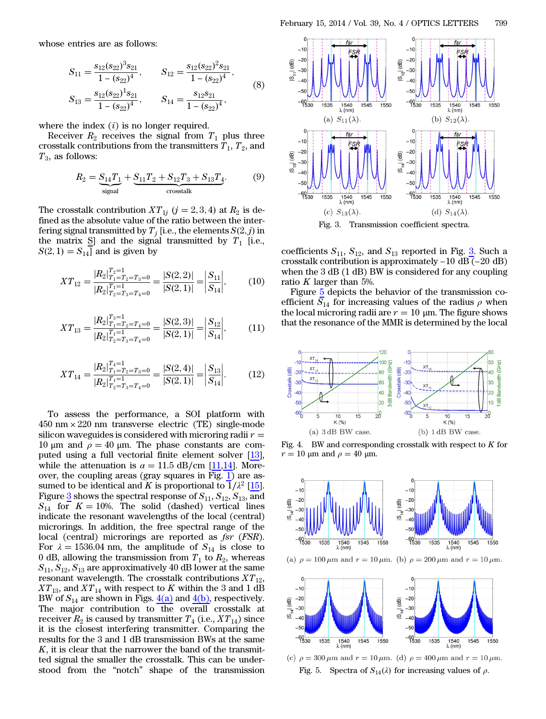whose entries are as follows:

entries are as follows:  
\n
$$
S_{11} = \frac{s_{12}(s_{22})^3 s_{21}}{1 - (s_{22})^4}, \qquad S_{12} = \frac{s_{12}(s_{22})^2 s_{21}}{1 - (s_{22})^4},
$$
\n
$$
S_{13} = \frac{s_{12}(s_{22})^1 s_{21}}{1 - (s_{22})^4}, \qquad S_{14} = \frac{s_{12}s_{21}}{1 - (s_{22})^4},
$$
\n(8)

where the index  $(i)$  is no longer required.

Receiver  $R_2$  receives the signal from  $T_1$  plus three crosstalk contributions from the transmitters  $T_1$ ,  $T_2$ , and  $T_3$ , as follows:

$$
R_2 = \underbrace{S_{14}T_1}_{\text{signal}} + \underbrace{S_{11}T_2 + S_{12}T_3 + S_{13}T_4}_{\text{crosstalk}}.\tag{9}
$$

The crosstalk contribution  $XT_{1j}$   $(j = 2, 3, 4)$  at  $R_2$  is defined as the absolute value of the ratio between the interfering signal transmitted by  $T_j$  [i.e., the elements  $S(2, j)$  in the matrix  $\text{S}$ ] and the signal transmitted by  $T_1$  [i.e.,  $S(2, 1) = S_{14}$  and is given by

$$
XT_{12} = \frac{|R_2|_{T_1 = T_2 = T_3 = 0}^{T_2 = T} |R_2|_{T_2 = T_3 = T_4 = 0}^{T_2 = T_4} = \frac{|S(2, 2)|}{|S(2, 1)|} = \left| \frac{S_{11}}{S_{14}} \right|,
$$
(10)

$$
XT_{13} = \frac{|R_2|_{T_1 = T_2 = T_4 = 0}^{T_3 = 1}}{|R_2|_{T_2 = T_3 = T_4 = 0}^{T_1 = T_4} = \frac{|S(2,3)|}{|S(2,1)|} = \left| \frac{S_{12}}{S_{14}} \right|,
$$
(11)

$$
XT_{14} = \frac{|R_2|_{T_1 = T_2 = T_3 = 0}^{T_4 = 1}}{|R_2|_{T_2 = T_3 = T_4 = 0}^{T_1 = T_4}} = \frac{|S(2, 4)|}{|S(2, 1)|} = \left| \frac{S_{13}}{S_{14}} \right|.
$$
 (12)

To assess the performance, a SOI platform with  $450 \text{ nm} \times 220 \text{ nm}$  transverse electric (TE) single-mode silicon waveguides is considered with microring radii  $r =$ 10 μm and  $ρ = 40$  μm. The phase constants are computed using a full vectorial finite element solver [\[13](#page-3-11)], while the attenuation is  $\alpha = 11.5$  dB/cm [\[11](#page-3-9),[14\]](#page-3-12). Moreover, the coupling areas (gray squares in Fig. [1](#page-0-0)) are assumed to be identical and K is proportional to  $1/\lambda^2$  [\[15](#page-3-13)]. Figure  $\frac{3}{2}$  $\frac{3}{2}$  $\frac{3}{2}$  shows the spectral response of  $S_{11}, S_{12}, S_{13}$ , and  $S_{14}$  for  $K = 10\%$ . The solid (dashed) vertical lines indicate the resonant wavelengths of the local (central) microrings. In addition, the free spectral range of the local (central) microrings are reported as fsr (FSR). For  $\lambda = 1536.04$  nm, the amplitude of  $S_{14}$  is close to 0 dB, allowing the transmission from  $T_1$  to  $R_2$ , whereas  $S_{11}, S_{12}, S_{13}$  are approximatively 40 dB lower at the same resonant wavelength. The crosstalk contributions  $XT_{12}$ ,  $XT_{13}$ , and  $XT_{14}$  with respect to K within the 3 and 1 dB BW of  $S_{14}$  are shown in Figs.  $4(a)$  and  $4(b)$ , respectively. The major contribution to the overall crosstalk at receiver  $R_2$  is caused by transmitter  $T_4$  (i.e.,  $XT_{14}$ ) since it is the closest interfering transmitter. Comparing the results for the 3 and 1 dB transmission BWs at the same  $K$ , it is clear that the narrower the band of the transmitted signal the smaller the crosstalk. This can be understood from the "notch" shape of the transmission

<span id="page-2-0"></span>

coefficients  $S_{11},\,S_{12},\,$  and  $S_{13}$  $S_{13}$  $S_{13}$  reported in Fig.  $\underline{3}.$  Such a Fig. 3. Transmission coefficient spectra.<br>coefficients  $S_{11}$ ,  $S_{12}$ , and  $S_{13}$  reported in Fig. 3. Such a<br>crosstalk contribution is approximately −10 dB (−20 dB) when the 3 dB (1 dB) BW is considered for any coupling ratio K larger than 5%.

Figure [5](#page-2-2) depicts the behavior of the transmission coefficient  $S_{14}$  for increasing values of the radius  $\rho$  when the local microring radii are  $r = 10 \mu m$ . The figure shows that the resonance of the MMR is determined by the local

<span id="page-2-1"></span>

Fig. 4. BW and corresponding crosstalk with respect to  $K$  for  $r = 10$  μm and  $\rho = 40$  μm.

<span id="page-2-2"></span>